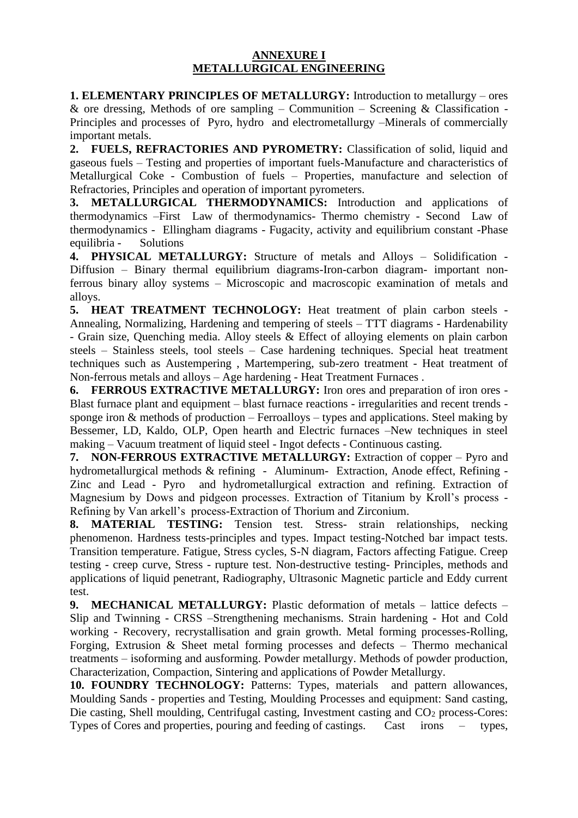## **ANNEXURE I METALLURGICAL ENGINEERING**

**1. ELEMENTARY PRINCIPLES OF METALLURGY:** Introduction to metallurgy – ores & ore dressing, Methods of ore sampling – Communition – Screening & Classification -Principles and processes of Pyro, hydro and electrometallurgy –Minerals of commercially important metals.

**2. FUELS, REFRACTORIES AND PYROMETRY:** Classification of solid, liquid and gaseous fuels – Testing and properties of important fuels-Manufacture and characteristics of Metallurgical Coke - Combustion of fuels – Properties, manufacture and selection of Refractories, Principles and operation of important pyrometers.

**3. METALLURGICAL THERMODYNAMICS:** Introduction and applications of thermodynamics –First Law of thermodynamics- Thermo chemistry - Second Law of thermodynamics - Ellingham diagrams - Fugacity, activity and equilibrium constant -Phase equilibria - Solutions

**4. PHYSICAL METALLURGY:** Structure of metals and Alloys – Solidification - Diffusion – Binary thermal equilibrium diagrams-Iron-carbon diagram- important nonferrous binary alloy systems – Microscopic and macroscopic examination of metals and alloys.

**5. HEAT TREATMENT TECHNOLOGY:** Heat treatment of plain carbon steels - Annealing, Normalizing, Hardening and tempering of steels – TTT diagrams - Hardenability - Grain size, Quenching media. Alloy steels & Effect of alloying elements on plain carbon steels – Stainless steels, tool steels – Case hardening techniques. Special heat treatment techniques such as Austempering , Martempering, sub-zero treatment - Heat treatment of Non-ferrous metals and alloys – Age hardening - Heat Treatment Furnaces .

**6. FERROUS EXTRACTIVE METALLURGY:** Iron ores and preparation of iron ores - Blast furnace plant and equipment – blast furnace reactions - irregularities and recent trends sponge iron  $&$  methods of production – Ferroalloys – types and applications. Steel making by Bessemer, LD, Kaldo, OLP, Open hearth and Electric furnaces –New techniques in steel making – Vacuum treatment of liquid steel - Ingot defects - Continuous casting.

**7. NON-FERROUS EXTRACTIVE METALLURGY:** Extraction of copper – Pyro and hydrometallurgical methods & refining - Aluminum- Extraction, Anode effect, Refining - Zinc and Lead - Pyro and hydrometallurgical extraction and refining. Extraction of Magnesium by Dows and pidgeon processes. Extraction of Titanium by Kroll's process - Refining by Van arkell's process-Extraction of Thorium and Zirconium.

**8. MATERIAL TESTING:** Tension test. Stress- strain relationships, necking phenomenon. Hardness tests-principles and types. Impact testing-Notched bar impact tests. Transition temperature. Fatigue, Stress cycles, S-N diagram, Factors affecting Fatigue. Creep testing - creep curve, Stress - rupture test. Non-destructive testing- Principles, methods and applications of liquid penetrant, Radiography, Ultrasonic Magnetic particle and Eddy current test.

**9. MECHANICAL METALLURGY:** Plastic deformation of metals – lattice defects – Slip and Twinning - CRSS –Strengthening mechanisms. Strain hardening - Hot and Cold working - Recovery, recrystallisation and grain growth. Metal forming processes-Rolling, Forging, Extrusion & Sheet metal forming processes and defects – Thermo mechanical treatments – isoforming and ausforming. Powder metallurgy. Methods of powder production, Characterization, Compaction, Sintering and applications of Powder Metallurgy.

**10. FOUNDRY TECHNOLOGY:** Patterns: Types, materials and pattern allowances, Moulding Sands - properties and Testing, Moulding Processes and equipment: Sand casting, Die casting, Shell moulding, Centrifugal casting, Investment casting and  $CO<sub>2</sub>$  process-Cores: Types of Cores and properties, pouring and feeding of castings. Cast irons – types,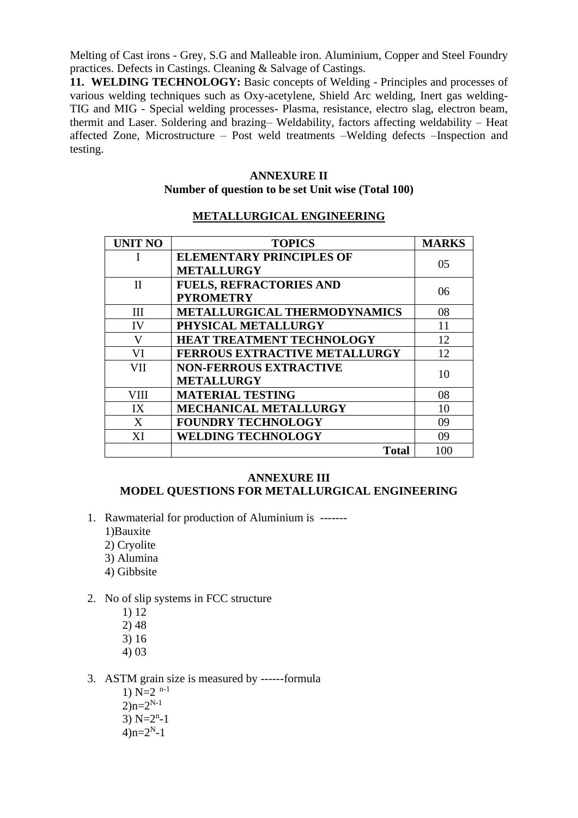Melting of Cast irons - Grey, S.G and Malleable iron. Aluminium, Copper and Steel Foundry practices. Defects in Castings. Cleaning & Salvage of Castings.

**11. WELDING TECHNOLOGY:** Basic concepts of Welding - Principles and processes of various welding techniques such as Oxy-acetylene, Shield Arc welding, Inert gas welding-TIG and MIG - Special welding processes- Plasma, resistance, electro slag, electron beam, thermit and Laser. Soldering and brazing– Weldability, factors affecting weldability – Heat affected Zone, Microstructure – Post weld treatments –Welding defects –Inspection and testing.

## **ANNEXURE II Number of question to be set Unit wise (Total 100)**

#### **METALLURGICAL ENGINEERING**

| <b>UNIT NO</b> | <b>TOPICS</b>                        | <b>MARKS</b> |
|----------------|--------------------------------------|--------------|
|                | <b>ELEMENTARY PRINCIPLES OF</b>      | 05           |
|                | <b>METALLURGY</b>                    |              |
| $_{\rm II}$    | <b>FUELS, REFRACTORIES AND</b>       | 06           |
|                | <b>PYROMETRY</b>                     |              |
| III            | METALLURGICAL THERMODYNAMICS         | 08           |
| <b>IV</b>      | PHYSICAL METALLURGY                  | 11           |
| V              | <b>HEAT TREATMENT TECHNOLOGY</b>     | 12           |
| VI             | <b>FERROUS EXTRACTIVE METALLURGY</b> | 12           |
| VII            | <b>NON-FERROUS EXTRACTIVE</b>        | 10           |
|                | <b>METALLURGY</b>                    |              |
| <b>VIII</b>    | <b>MATERIAL TESTING</b>              | 08           |
| IX             | <b>MECHANICAL METALLURGY</b>         | 10           |
| X              | <b>FOUNDRY TECHNOLOGY</b>            | 09           |
| XI             | <b>WELDING TECHNOLOGY</b>            | 09           |
|                | <b>Total</b>                         | 100          |

#### **ANNEXURE III**

# **MODEL QUESTIONS FOR METALLURGICAL ENGINEERING**

- 1. Rawmaterial for production of Aluminium is -------
	- 1)Bauxite
	- 2) Cryolite
	- 3) Alumina
	- 4) Gibbsite
- 2. No of slip systems in FCC structure
	- 1) 12
	- 2) 48
	- 3) 16
	- 4) 03
- 3. ASTM grain size is measured by ------formula
	- 1)  $N=2$ <sup>n-1</sup>  $2)$ n= $2^{N-1}$ 3)  $N=2^{n}-1$  $4)$ n= $2<sup>N</sup>$ -1